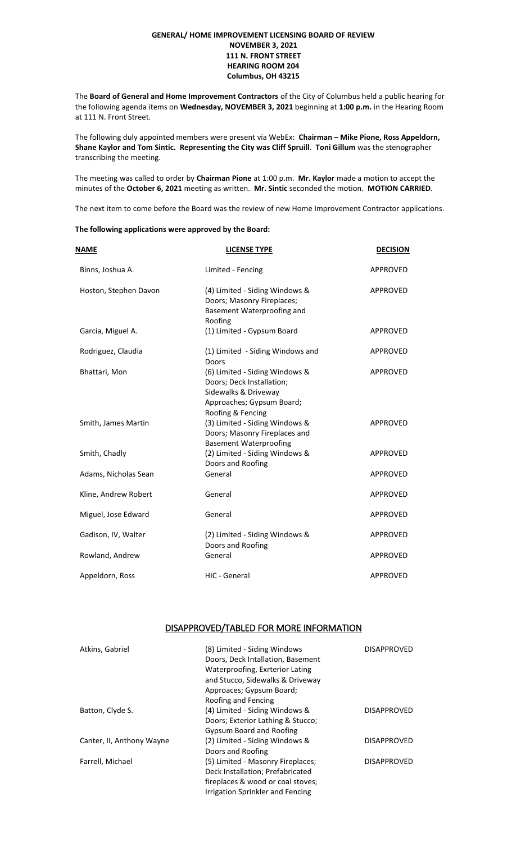## **GENERAL/ HOME IMPROVEMENT LICENSING BOARD OF REVIEW NOVEMBER 3, 2021 111 N. FRONT STREET HEARING ROOM 204 Columbus, OH 43215**

The **Board of General and Home Improvement Contractors** of the City of Columbus held a public hearing for the following agenda items on **Wednesday, NOVEMBER 3, 2021** beginning at **1:00 p.m.** in the Hearing Room at 111 N. Front Street.

The following duly appointed members were present via WebEx: **Chairman – Mike Pione, Ross Appeldorn, Shane Kaylor and Tom Sintic. Representing the City was Cliff Spruill**. **Toni Gillum** was the stenographer transcribing the meeting.

The meeting was called to order by **Chairman Pione** at 1:00 p.m. **Mr. Kaylor** made a motion to accept the minutes of the **October 6, 2021** meeting as written. **Mr. Sintic** seconded the motion. **MOTION CARRIED**.

The next item to come before the Board was the review of new Home Improvement Contractor applications.

## **The following applications were approved by the Board:**

| NAME                  | <b>LICENSE TYPE</b>                                                                                                                   | <b>DECISION</b> |
|-----------------------|---------------------------------------------------------------------------------------------------------------------------------------|-----------------|
| Binns, Joshua A.      | Limited - Fencing                                                                                                                     | <b>APPROVED</b> |
| Hoston, Stephen Davon | (4) Limited - Siding Windows &<br>Doors; Masonry Fireplaces;<br>Basement Waterproofing and<br>Roofing                                 | <b>APPROVED</b> |
| Garcia, Miguel A.     | (1) Limited - Gypsum Board                                                                                                            | <b>APPROVED</b> |
| Rodriguez, Claudia    | (1) Limited - Siding Windows and<br>Doors                                                                                             | APPROVED        |
| Bhattari, Mon         | (6) Limited - Siding Windows &<br>Doors; Deck Installation;<br>Sidewalks & Driveway<br>Approaches; Gypsum Board;<br>Roofing & Fencing | <b>APPROVED</b> |
| Smith, James Martin   | (3) Limited - Siding Windows &<br>Doors; Masonry Fireplaces and<br><b>Basement Waterproofing</b>                                      | <b>APPROVED</b> |
| Smith, Chadly         | (2) Limited - Siding Windows &<br>Doors and Roofing                                                                                   | <b>APPROVED</b> |
| Adams, Nicholas Sean  | General                                                                                                                               | <b>APPROVED</b> |
| Kline, Andrew Robert  | General                                                                                                                               | <b>APPROVED</b> |
| Miguel, Jose Edward   | General                                                                                                                               | <b>APPROVED</b> |
| Gadison, IV, Walter   | (2) Limited - Siding Windows &<br>Doors and Roofing                                                                                   | <b>APPROVED</b> |
| Rowland, Andrew       | General                                                                                                                               | <b>APPROVED</b> |
| Appeldorn, Ross       | HIC - General                                                                                                                         | <b>APPROVED</b> |

## DISAPPROVED/TABLED FOR MORE INFORMATION

| Atkins, Gabriel           | (8) Limited - Siding Windows<br>Doors, Deck Intallation, Basement<br>Waterproofing, Exrterior Lating<br>and Stucco, Sidewalks & Driveway<br>Approaces; Gypsum Board;<br>Roofing and Fencing | <b>DISAPPROVED</b> |
|---------------------------|---------------------------------------------------------------------------------------------------------------------------------------------------------------------------------------------|--------------------|
| Batton, Clyde S.          | (4) Limited - Siding Windows &<br>Doors; Exterior Lathing & Stucco;<br><b>Gypsum Board and Roofing</b>                                                                                      | <b>DISAPPROVED</b> |
| Canter, II, Anthony Wayne | (2) Limited - Siding Windows &<br>Doors and Roofing                                                                                                                                         | <b>DISAPPROVED</b> |
| Farrell, Michael          | (5) Limited - Masonry Fireplaces;<br>Deck Installation; Prefabricated<br>fireplaces & wood or coal stoves;<br>Irrigation Sprinkler and Fencing                                              | <b>DISAPPROVED</b> |